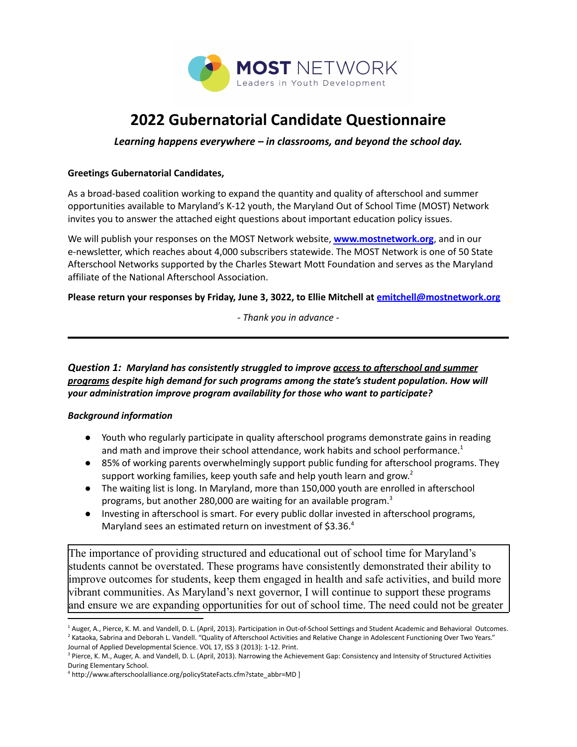

# **2022 Gubernatorial Candidate Questionnaire**

*Learning happens everywhere – in classrooms, and beyond the school day.*

#### **Greetings Gubernatorial Candidates,**

As a broad-based coalition working to expand the quantity and quality of afterschool and summer opportunities available to Maryland's K-12 youth, the Maryland Out of School Time (MOST) Network invites you to answer the attached eight questions about important education policy issues.

We will publish your responses on the MOST Network website, **[www.mostnetwork.org](http://www.mostnetwork.org)**, and in our e-newsletter, which reaches about 4,000 subscribers statewide. The MOST Network is one of 50 State Afterschool Networks supported by the Charles Stewart Mott Foundation and serves as the Maryland affiliate of the National Afterschool Association.

#### **Please return your responses by Friday, June 3, 3022, to Ellie Mitchell at [emitchell@mostnetwork.org](mailto:emitchell@mostnetwork.org)**

*- Thank you in advance -*

*Question 1: Maryland has consistently struggled to improve access to afterschool and summer programs despite high demand for such programs among the state's student population. How will your administration improve program availability for those who want to participate?*

## *Background information*

- Youth who regularly participate in quality afterschool programs demonstrate gains in reading and math and improve their school attendance, work habits and school performance.<sup>1</sup>
- 85% of working parents overwhelmingly support public funding for afterschool programs. They support working families, keep youth safe and help youth learn and grow.<sup>2</sup>
- The waiting list is long. In Maryland, more than 150,000 youth are enrolled in afterschool programs, but another 280,000 are waiting for an available program.<sup>3</sup>
- Investing in afterschool is smart. For every public dollar invested in afterschool programs, Maryland sees an estimated return on investment of \$3.36.4

The importance of providing structured and educational out of school time for Maryland's students cannot be overstated. These programs have consistently demonstrated their ability to improve outcomes for students, keep them engaged in health and safe activities, and build more vibrant communities. As Maryland's next governor, I will continue to support these programs and ensure we are expanding opportunities for out of school time. The need could not be greater

<sup>&</sup>lt;sup>2</sup> Kataoka, Sabrina and Deborah L. Vandell. "Quality of Afterschool Activities and Relative Change in Adolescent Functioning Over Two Years." <sup>1</sup> Auger, A., Pierce, K. M. and Vandell, D. L. (April, 2013). Participation in Out-of-School Settings and Student Academic and Behavioral Outcomes.

Journal of Applied Developmental Science. VOL 17, ISS 3 (2013): 1-12. Print.

<sup>&</sup>lt;sup>3</sup> Pierce, K. M., Auger, A. and Vandell, D. L. (April, 2013). Narrowing the Achievement Gap: Consistency and Intensity of Structured Activities During Elementary School.

<sup>4</sup> http://www.afterschoolalliance.org/policyStateFacts.cfm?state\_abbr=MD ]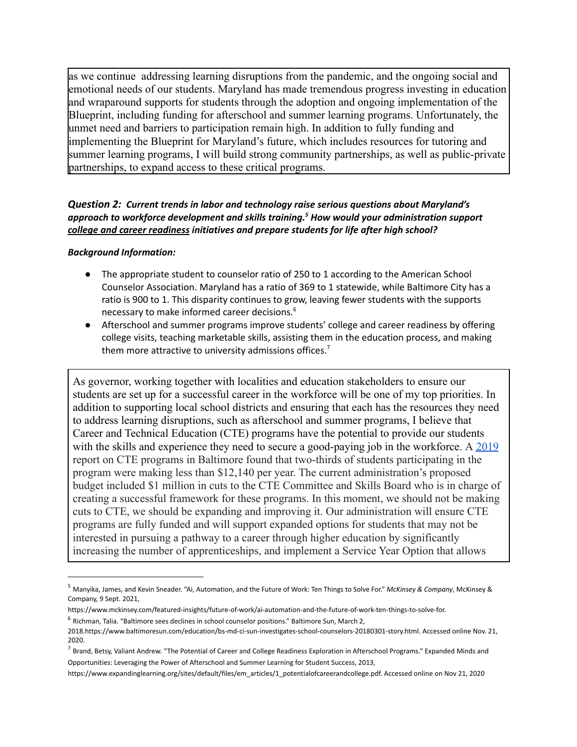as we continue addressing learning disruptions from the pandemic, and the ongoing social and emotional needs of our students. Maryland has made tremendous progress investing in education and wraparound supports for students through the adoption and ongoing implementation of the Blueprint, including funding for afterschool and summer learning programs. Unfortunately, the unmet need and barriers to participation remain high. In addition to fully funding and implementing the Blueprint for Maryland's future, which includes resources for tutoring and summer learning programs, I will build strong community partnerships, as well as public-private partnerships, to expand access to these critical programs.

## *Question 2: Current trends in labor and technology raise serious questions about Maryland's approach to workforce development and skills training. <sup>5</sup> How would your administration support college and career readiness initiatives and prepare students for life after high school?*

#### *Background Information:*

- The appropriate student to counselor ratio of 250 to 1 according to the American School Counselor Association. Maryland has a ratio of 369 to 1 statewide, while Baltimore City has a ratio is 900 to 1. This disparity continues to grow, leaving fewer students with the supports necessary to make informed career decisions. 6
- Afterschool and summer programs improve students' college and career readiness by offering college visits, teaching marketable skills, assisting them in the education process, and making them more attractive to university admissions offices.<sup>7</sup>

As governor, working together with localities and education stakeholders to ensure our students are set up for a successful career in the workforce will be one of my top priorities. In addition to supporting local school districts and ensuring that each has the resources they need to address learning disruptions, such as afterschool and summer programs, I believe that Career and Technical Education (CTE) programs have the potential to provide our students with the skills and experience they need to secure a good-paying job in the workforce. A [2019](https://www.baltimoresun.com/education/bs-md-ci-cte-study-20190213-story.html) report on CTE programs in Baltimore found that two-thirds of students participating in the program were making less than \$12,140 per year. The current administration's proposed budget included \$1 million in cuts to the CTE Committee and Skills Board who is in charge of creating a successful framework for these programs. In this moment, we should not be making cuts to CTE, we should be expanding and improving it. Our administration will ensure CTE programs are fully funded and will support expanded options for students that may not be interested in pursuing a pathway to a career through higher education by significantly increasing the number of apprenticeships, and implement a Service Year Option that allows

<sup>5</sup> Manyika, James, and Kevin Sneader. "Ai, Automation, and the Future of Work: Ten Things to Solve For." *McKinsey & Company*, McKinsey & Company, 9 Sept. 2021,

<sup>6</sup> Richman, Talia. "Baltimore sees declines in school counselor positions." Baltimore Sun, March 2, https://www.mckinsey.com/featured-insights/future-of-work/ai-automation-and-the-future-of-work-ten-things-to-solve-for.

<sup>2018.</sup>https://www.baltimoresun.com/education/bs-md-ci-sun-investigates-school-counselors-20180301-story.html. Accessed online Nov. 21, 2020.

<sup>&</sup>lt;sup>7</sup> Brand, Betsy, Valiant Andrew. "The Potential of Career and College Readiness Exploration in Afterschool Programs." Expanded Minds and Opportunities: Leveraging the Power of Afterschool and Summer Learning for Student Success, 2013,

https://www.expandinglearning.org/sites/default/files/em\_articles/1\_potentialofcareerandcollege.pdf. Accessed online on Nov 21, 2020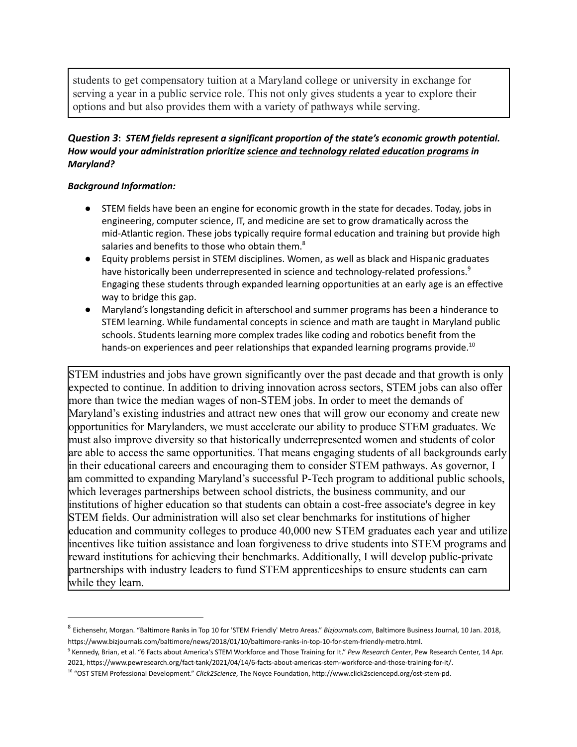students to get compensatory tuition at a Maryland college or university in exchange for serving a year in a public service role. This not only gives students a year to explore their options and but also provides them with a variety of pathways while serving.

## *Question 3***:** *STEM fields represent a significant proportion of the state's economic growth potential. How would your administration prioritize science and technology related education programs in Maryland?*

## *Background Information:*

- STEM fields have been an engine for economic growth in the state for decades. Today, jobs in engineering, computer science, IT, and medicine are set to grow dramatically across the mid-Atlantic region. These jobs typically require formal education and training but provide high salaries and benefits to those who obtain them. $^8$
- Equity problems persist in STEM disciplines. Women, as well as black and Hispanic graduates have historically been underrepresented in science and technology-related professions.<sup>9</sup> Engaging these students through expanded learning opportunities at an early age is an effective way to bridge this gap.
- Maryland's longstanding deficit in afterschool and summer programs has been a hinderance to STEM learning. While fundamental concepts in science and math are taught in Maryland public schools. Students learning more complex trades like coding and robotics benefit from the hands-on experiences and peer relationships that expanded learning programs provide.<sup>10</sup>

STEM industries and jobs have grown significantly over the past decade and that growth is only expected to continue. In addition to driving innovation across sectors, STEM jobs can also offer more than twice the median wages of non-STEM jobs. In order to meet the demands of Maryland's existing industries and attract new ones that will grow our economy and create new opportunities for Marylanders, we must accelerate our ability to produce STEM graduates. We must also improve diversity so that historically underrepresented women and students of color are able to access the same opportunities. That means engaging students of all backgrounds early in their educational careers and encouraging them to consider STEM pathways. As governor, I am committed to expanding Maryland's successful P-Tech program to additional public schools, which leverages partnerships between school districts, the business community, and our institutions of higher education so that students can obtain a cost-free associate's degree in key STEM fields. Our administration will also set clear benchmarks for institutions of higher education and community colleges to produce 40,000 new STEM graduates each year and utilize incentives like tuition assistance and loan forgiveness to drive students into STEM programs and reward institutions for achieving their benchmarks. Additionally, I will develop public-private partnerships with industry leaders to fund STEM apprenticeships to ensure students can earn while they learn.

<sup>8</sup> Eichensehr, Morgan. "Baltimore Ranks in Top 10 for 'STEM Friendly' Metro Areas." *Bizjournals.com*, Baltimore Business Journal, 10 Jan. 2018, https://www.bizjournals.com/baltimore/news/2018/01/10/baltimore-ranks-in-top-10-for-stem-friendly-metro.html.

<sup>9</sup> Kennedy, Brian, et al. "6 Facts about America's STEM Workforce and Those Training for It." *Pew Research Center*, Pew Research Center, 14 Apr. 2021, https://www.pewresearch.org/fact-tank/2021/04/14/6-facts-about-americas-stem-workforce-and-those-training-for-it/.

<sup>10</sup> "OST STEM Professional Development." *Click2Science*, The Noyce Foundation, http://www.click2sciencepd.org/ost-stem-pd.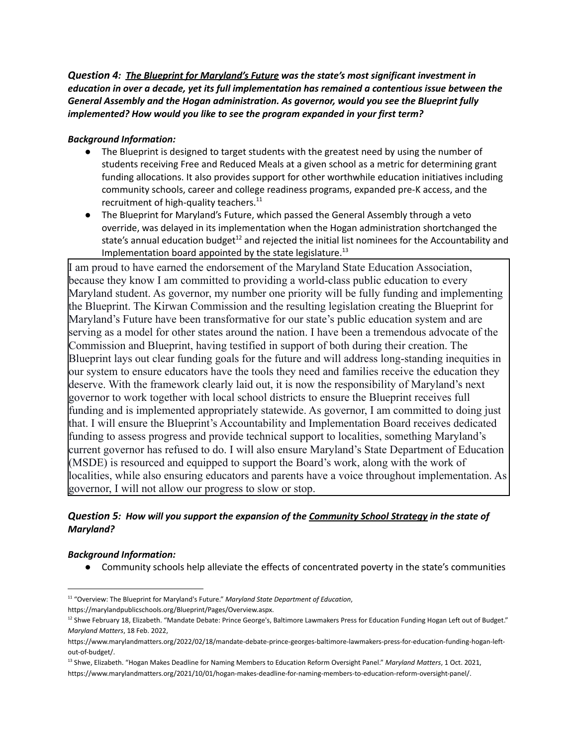*Question 4: The Blueprint for Maryland's Future was the state's most significant investment in education in over a decade, yet its full implementation has remained a contentious issue between the General Assembly and the Hogan administration. As governor, would you see the Blueprint fully implemented? How would you like to see the program expanded in your first term?*

#### *Background Information:*

- The Blueprint is designed to target students with the greatest need by using the number of students receiving Free and Reduced Meals at a given school as a metric for determining grant funding allocations. It also provides support for other worthwhile education initiatives including community schools, career and college readiness programs, expanded pre-K access, and the recruitment of high-quality teachers.<sup>11</sup>
- The Blueprint for Maryland's Future, which passed the General Assembly through a veto override, was delayed in its implementation when the Hogan administration shortchanged the state's annual education budget<sup>12</sup> and rejected the initial list nominees for the Accountability and Implementation board appointed by the state legislature.<sup>13</sup>

I am proud to have earned the endorsement of the Maryland State Education Association, because they know I am committed to providing a world-class public education to every Maryland student. As governor, my number one priority will be fully funding and implementing the Blueprint. The Kirwan Commission and the resulting legislation creating the Blueprint for Maryland's Future have been transformative for our state's public education system and are serving as a model for other states around the nation. I have been a tremendous advocate of the Commission and Blueprint, having testified in support of both during their creation. The Blueprint lays out clear funding goals for the future and will address long-standing inequities in our system to ensure educators have the tools they need and families receive the education they deserve. With the framework clearly laid out, it is now the responsibility of Maryland's next governor to work together with local school districts to ensure the Blueprint receives full funding and is implemented appropriately statewide. As governor, I am committed to doing just that. I will ensure the Blueprint's Accountability and Implementation Board receives dedicated funding to assess progress and provide technical support to localities, something Maryland's current governor has refused to do. I will also ensure Maryland's State Department of Education (MSDE) is resourced and equipped to support the Board's work, along with the work of localities, while also ensuring educators and parents have a voice throughout implementation. As governor, I will not allow our progress to slow or stop.

## *Question 5: How will you support the expansion of the Community School Strategy in the state of Maryland?*

#### *Background Information:*

● Community schools help alleviate the effects of concentrated poverty in the state's communities

<sup>11</sup> "Overview: The Blueprint for Maryland's Future." *Maryland State Department of Education*, https://marylandpublicschools.org/Blueprint/Pages/Overview.aspx.

<sup>&</sup>lt;sup>12</sup> Shwe February 18, Elizabeth. "Mandate Debate: Prince George's, Baltimore Lawmakers Press for Education Funding Hogan Left out of Budget." *Maryland Matters*, 18 Feb. 2022,

https://www.marylandmatters.org/2022/02/18/mandate-debate-prince-georges-baltimore-lawmakers-press-for-education-funding-hogan-leftout-of-budget/.

<sup>13</sup> Shwe, Elizabeth. "Hogan Makes Deadline for Naming Members to Education Reform Oversight Panel." *Maryland Matters*, 1 Oct. 2021, https://www.marylandmatters.org/2021/10/01/hogan-makes-deadline-for-naming-members-to-education-reform-oversight-panel/.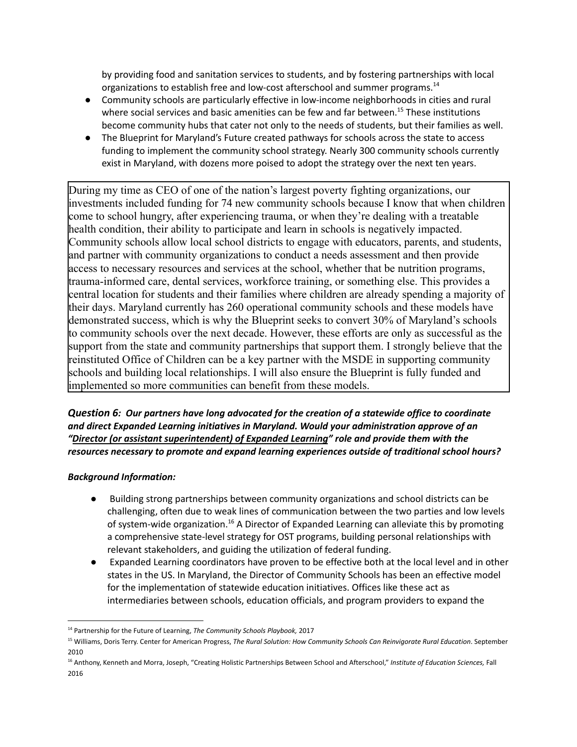by providing food and sanitation services to students, and by fostering partnerships with local organizations to establish free and low-cost afterschool and summer programs.<sup>14</sup>

- Community schools are particularly effective in low-income neighborhoods in cities and rural where social services and basic amenities can be few and far between.<sup>15</sup> These institutions become community hubs that cater not only to the needs of students, but their families as well.
- The Blueprint for Maryland's Future created pathways for schools across the state to access funding to implement the community school strategy. Nearly 300 community schools currently exist in Maryland, with dozens more poised to adopt the strategy over the next ten years.

During my time as CEO of one of the nation's largest poverty fighting organizations, our investments included funding for 74 new community schools because I know that when children come to school hungry, after experiencing trauma, or when they're dealing with a treatable health condition, their ability to participate and learn in schools is negatively impacted. Community schools allow local school districts to engage with educators, parents, and students, and partner with community organizations to conduct a needs assessment and then provide access to necessary resources and services at the school, whether that be nutrition programs, trauma-informed care, dental services, workforce training, or something else. This provides a central location for students and their families where children are already spending a majority of their days. Maryland currently has 260 operational community schools and these models have demonstrated success, which is why the Blueprint seeks to convert 30% of Maryland's schools to community schools over the next decade. However, these efforts are only as successful as the support from the state and community partnerships that support them. I strongly believe that the reinstituted Office of Children can be a key partner with the MSDE in supporting community schools and building local relationships. I will also ensure the Blueprint is fully funded and implemented so more communities can benefit from these models.

*Question 6: Our partners have long advocated for the creation of a statewide office to coordinate and direct Expanded Learning initiatives in Maryland. Would your administration approve of an "Director (or assistant superintendent) of Expanded Learning" role and provide them with the resources necessary to promote and expand learning experiences outside of traditional school hours?*

## *Background Information:*

- *●* Building strong partnerships between community organizations and school districts can be challenging, often due to weak lines of communication between the two parties and low levels of system-wide organization.<sup>16</sup> A Director of Expanded Learning can alleviate this by promoting a comprehensive state-level strategy for OST programs, building personal relationships with relevant stakeholders, and guiding the utilization of federal funding.
- *●* Expanded Learning coordinators have proven to be effective both at the local level and in other states in the US. In Maryland, the Director of Community Schools has been an effective model for the implementation of statewide education initiatives. Offices like these act as intermediaries between schools, education officials, and program providers to expand the

<sup>14</sup> Partnership for the Future of Learning, *The Community Schools Playbook,* 2017

<sup>15</sup> Williams, Doris Terry. Center for American Progress, *The Rural Solution: How Community Schools Can Reinvigorate Rural Education*. September 2010

<sup>16</sup> Anthony, Kenneth and Morra, Joseph, "Creating Holistic Partnerships Between School and Afterschool," *Institute of Education Sciences,* Fall 2016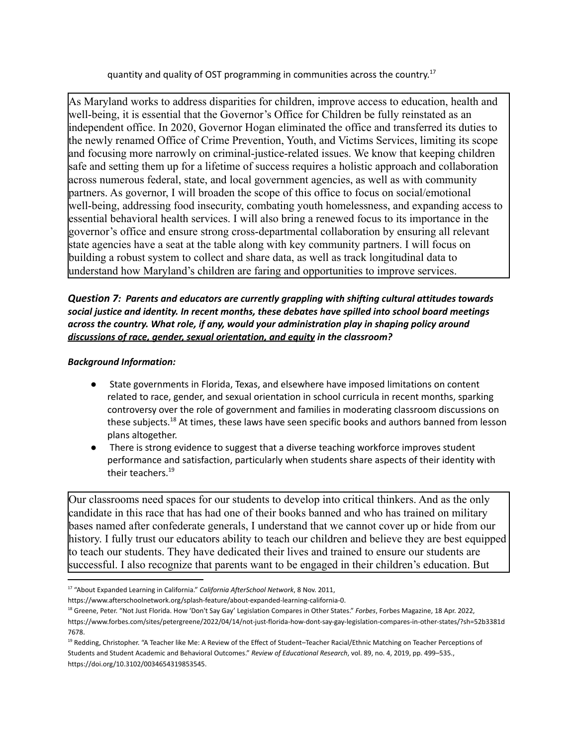quantity and quality of OST programming in communities across the country.<sup>17</sup>

As Maryland works to address disparities for children, improve access to education, health and well-being, it is essential that the Governor's Office for Children be fully reinstated as an independent office. In 2020, Governor Hogan eliminated the office and transferred its duties to the newly renamed Office of Crime Prevention, Youth, and Victims Services, limiting its scope and focusing more narrowly on criminal-justice-related issues. We know that keeping children safe and setting them up for a lifetime of success requires a holistic approach and collaboration across numerous federal, state, and local government agencies, as well as with community partners. As governor, I will broaden the scope of this office to focus on social/emotional well-being, addressing food insecurity, combating youth homelessness, and expanding access to essential behavioral health services. I will also bring a renewed focus to its importance in the governor's office and ensure strong cross-departmental collaboration by ensuring all relevant state agencies have a seat at the table along with key community partners. I will focus on building a robust system to collect and share data, as well as track longitudinal data to understand how Maryland's children are faring and opportunities to improve services.

*Question 7: Parents and educators are currently grappling with shifting cultural attitudes towards social justice and identity. In recent months, these debates have spilled into school board meetings across the country. What role, if any, would your administration play in shaping policy around discussions of race, gender, sexual orientation, and equity in the classroom?*

## *Background Information:*

- State governments in Florida, Texas, and elsewhere have imposed limitations on content related to race, gender, and sexual orientation in school curricula in recent months, sparking controversy over the role of government and families in moderating classroom discussions on these subjects.<sup>18</sup> At times, these laws have seen specific books and authors banned from lesson plans altogether.
- There is strong evidence to suggest that a diverse teaching workforce improves student performance and satisfaction, particularly when students share aspects of their identity with their teachers. 19

Our classrooms need spaces for our students to develop into critical thinkers. And as the only candidate in this race that has had one of their books banned and who has trained on military bases named after confederate generals, I understand that we cannot cover up or hide from our history. I fully trust our educators ability to teach our children and believe they are best equipped to teach our students. They have dedicated their lives and trained to ensure our students are successful. I also recognize that parents want to be engaged in their children's education. But

<sup>17</sup> "About Expanded Learning in California." *California AfterSchool Network*, 8 Nov. 2011,

https://www.afterschoolnetwork.org/splash-feature/about-expanded-learning-california-0.

<sup>18</sup> Greene, Peter. "Not Just Florida. How 'Don't Say Gay' Legislation Compares in Other States." *Forbes*, Forbes Magazine, 18 Apr. 2022, https://www.forbes.com/sites/petergreene/2022/04/14/not-just-florida-how-dont-say-gay-legislation-compares-in-other-states/?sh=52b3381d 7678.

<sup>19</sup> Redding, Christopher. "A Teacher like Me: A Review of the Effect of Student–Teacher Racial/Ethnic Matching on Teacher Perceptions of Students and Student Academic and Behavioral Outcomes." *Review of Educational Research*, vol. 89, no. 4, 2019, pp. 499–535., https://doi.org/10.3102/0034654319853545.